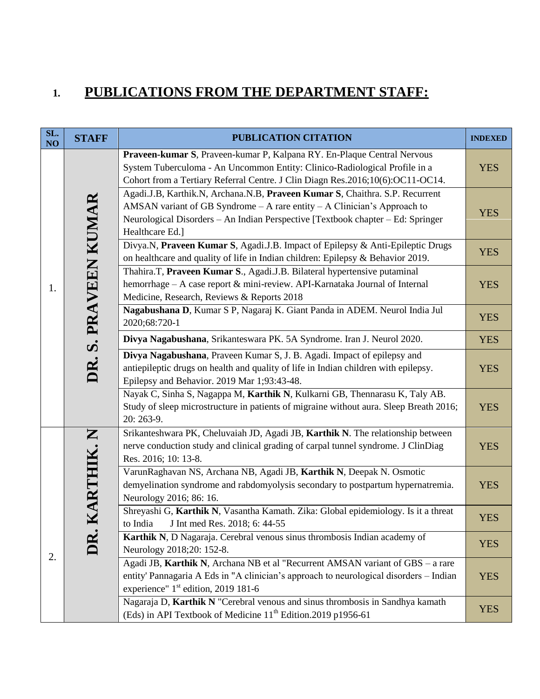## **1. PUBLICATIONS FROM THE DEPARTMENT STAFF:**

| SL.<br>NO | <b>STAFF</b>         | PUBLICATION CITATION                                                                                                                                                                                                                                             | <b>INDEXED</b> |
|-----------|----------------------|------------------------------------------------------------------------------------------------------------------------------------------------------------------------------------------------------------------------------------------------------------------|----------------|
|           |                      | Praveen-kumar S, Praveen-kumar P, Kalpana RY. En-Plaque Central Nervous<br>System Tuberculoma - An Uncommon Entity: Clinico-Radiological Profile in a<br>Cohort from a Tertiary Referral Centre. J Clin Diagn Res.2016;10(6):OC11-OC14.                          | <b>YES</b>     |
|           | DR. S. PRAVEEN KUMAR | Agadi.J.B, Karthik.N, Archana.N.B, Praveen Kumar S, Chaithra. S.P. Recurrent<br>AMSAN variant of GB Syndrome $-A$ rare entity $-A$ Clinician's Approach to<br>Neurological Disorders - An Indian Perspective [Textbook chapter - Ed: Springer<br>Healthcare Ed.] | <b>YES</b>     |
|           |                      | Divya.N, Praveen Kumar S, Agadi.J.B. Impact of Epilepsy & Anti-Epileptic Drugs<br>on healthcare and quality of life in Indian children: Epilepsy & Behavior 2019.                                                                                                | <b>YES</b>     |
| 1.        |                      | Thahira.T, Praveen Kumar S., Agadi.J.B. Bilateral hypertensive putaminal<br>hemorrhage - A case report & mini-review. API-Karnataka Journal of Internal<br>Medicine, Research, Reviews & Reports 2018                                                            | <b>YES</b>     |
|           |                      | Nagabushana D, Kumar S P, Nagaraj K. Giant Panda in ADEM. Neurol India Jul<br>2020;68:720-1                                                                                                                                                                      | <b>YES</b>     |
|           |                      | Divya Nagabushana, Srikanteswara PK. 5A Syndrome. Iran J. Neurol 2020.                                                                                                                                                                                           | <b>YES</b>     |
|           |                      | Divya Nagabushana, Praveen Kumar S, J. B. Agadi. Impact of epilepsy and<br>antiepileptic drugs on health and quality of life in Indian children with epilepsy.<br>Epilepsy and Behavior. 2019 Mar 1;93:43-48.                                                    | <b>YES</b>     |
|           |                      | Nayak C, Sinha S, Nagappa M, Karthik N, Kulkarni GB, Thennarasu K, Taly AB.<br>Study of sleep microstructure in patients of migraine without aura. Sleep Breath 2016;<br>20: 263-9.                                                                              | <b>YES</b>     |
|           |                      | Srikanteshwara PK, Cheluvaiah JD, Agadi JB, Karthik N. The relationship between<br>nerve conduction study and clinical grading of carpal tunnel syndrome. J ClinDiag<br>Res. 2016; 10: 13-8.                                                                     | <b>YES</b>     |
|           | KARTHIK. N           | VarunRaghavan NS, Archana NB, Agadi JB, Karthik N, Deepak N. Osmotic<br>demyelination syndrome and rabdomyolysis secondary to postpartum hypernatremia.<br>Neurology 2016; 86: 16.                                                                               | <b>YES</b>     |
|           |                      | Shreyashi G, Karthik N, Vasantha Kamath. Zika: Global epidemiology. Is it a threat<br>to India<br>J Int med Res. 2018; 6: 44-55                                                                                                                                  | <b>YES</b>     |
|           | DR.                  | Karthik N, D Nagaraja. Cerebral venous sinus thrombosis Indian academy of<br>Neurology 2018;20: 152-8.                                                                                                                                                           | <b>YES</b>     |
| 2.        |                      | Agadi JB, Karthik N, Archana NB et al "Recurrent AMSAN variant of GBS - a rare<br>entity' Pannagaria A Eds in "A clinician's approach to neurological disorders - Indian<br>experience" 1 <sup>st</sup> edition, 2019 181-6                                      | <b>YES</b>     |
|           |                      | Nagaraja D, Karthik N "Cerebral venous and sinus thrombosis in Sandhya kamath<br>(Eds) in API Textbook of Medicine 11 <sup>th</sup> Edition.2019 p1956-61                                                                                                        | <b>YES</b>     |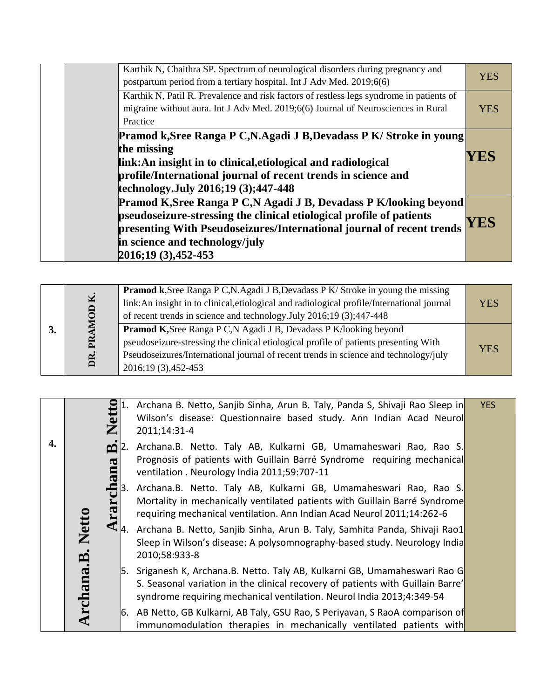| Karthik N, Chaithra SP. Spectrum of neurological disorders during pregnancy and<br>postpartum period from a tertiary hospital. Int J Adv Med. 2019;6(6)                                                                                                                      | <b>YES</b> |
|------------------------------------------------------------------------------------------------------------------------------------------------------------------------------------------------------------------------------------------------------------------------------|------------|
| Karthik N, Patil R. Prevalence and risk factors of restless legs syndrome in patients of<br>migraine without aura. Int J Adv Med. 2019;6(6) Journal of Neurosciences in Rural<br>Practice                                                                                    | <b>YES</b> |
| Pramod k, Sree Ranga P C, N. Agadi J B, Devadass P K/ Stroke in young<br>the missing<br>link: An insight in to clinical, etiological and radiological<br>profile/International journal of recent trends in science and<br>technology.July 2016;19 (3);447-448                | YES        |
| Pramod K, Sree Ranga P C, N Agadi J B, Devadass P K/looking beyond<br>pseudoseizure-stressing the clinical etiological profile of patients<br>presenting With Pseudoseizures/International journal of recent trends<br>in science and technology/july<br>2016;19 (3),452-453 | YES        |

| $\overline{\mathbf{M}}$<br>$\mathbf{\Theta}$ | <b>Pramod k</b> , Sree Ranga P C, N. Agadi J B, Devadass P K/ Stroke in young the missing<br>link: An insight in to clinical, etiological and radiological profile/International journal<br>of recent trends in science and technology. July 2016;19 (3);447-448          | <b>YES</b> |
|----------------------------------------------|---------------------------------------------------------------------------------------------------------------------------------------------------------------------------------------------------------------------------------------------------------------------------|------------|
| PR4<br>DR.                                   | Pramod K, Sree Ranga P C, N Agadi J B, Devadass P K/looking beyond<br>pseudoseizure-stressing the clinical etiological profile of patients presenting With<br>Pseudoseizures/International journal of recent trends in science and technology/july<br>2016;19 (3),452-453 | <b>YES</b> |

|    | E<br>$\mathbf{Z}$                                                                                        | Archana B. Netto, Sanjib Sinha, Arun B. Taly, Panda S, Shivaji Rao Sleep in<br>Wilson's disease: Questionnaire based study. Ann Indian Acad Neurol<br>2011;14:31-4                                                                     | <b>YES</b> |
|----|----------------------------------------------------------------------------------------------------------|----------------------------------------------------------------------------------------------------------------------------------------------------------------------------------------------------------------------------------------|------------|
| 4. | $\mathbf{\underline{\underline{\omega}}}$<br>$\boldsymbol{\mathcal{S}}$<br><u>E</u><br>$\mathbf{\Omega}$ | Archana.B. Netto. Taly AB, Kulkarni GB, Umamaheswari Rao, Rao S.<br>Prognosis of patients with Guillain Barré Syndrome requiring mechanical<br>ventilation . Neurology India 2011;59:707-11                                            |            |
|    | ငါ                                                                                                       | Archana.B. Netto. Taly AB, Kulkarni GB, Umamaheswari Rao, Rao S.<br>Mortality in mechanically ventilated patients with Guillain Barré Syndrome<br>requiring mechanical ventilation. Ann Indian Acad Neurol 2011;14:262-6               |            |
|    | <b>Netto</b>                                                                                             | Archana B. Netto, Sanjib Sinha, Arun B. Taly, Samhita Panda, Shivaji Rao1<br>$\n  \mathcal{L}_{\mathsf{A}}Sleep in Wilson's disease: A polysomnography-based study. Neurology India2010;58:933-8$                                      |            |
|    | Archana.B.                                                                                               | 5. Sriganesh K, Archana.B. Netto. Taly AB, Kulkarni GB, Umamaheswari Rao G<br>S. Seasonal variation in the clinical recovery of patients with Guillain Barre'<br>syndrome requiring mechanical ventilation. Neurol India 2013;4:349-54 |            |
|    |                                                                                                          | 6. AB Netto, GB Kulkarni, AB Taly, GSU Rao, S Periyavan, S RaoA comparison of<br>immunomodulation therapies in mechanically ventilated patients with                                                                                   |            |